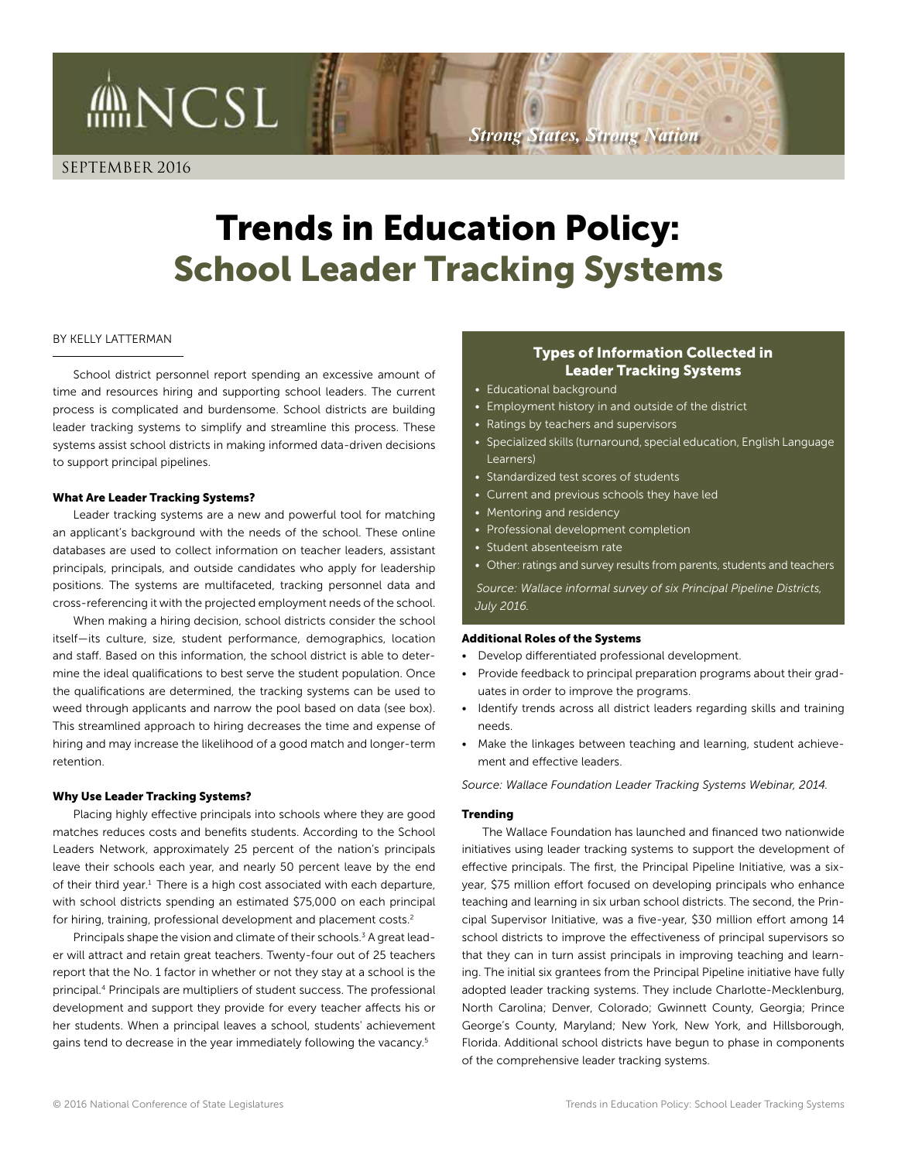SEPTEMBER 2016

**MNCSL** 

# Trends in Education Policy: School Leader Tracking Systems

#### BY KELLY LATTERMAN

School district personnel report spending an excessive amount of time and resources hiring and supporting school leaders. The current process is complicated and burdensome. School districts are building leader tracking systems to simplify and streamline this process. These systems assist school districts in making informed data-driven decisions to support principal pipelines.

#### What Are Leader Tracking Systems?

Leader tracking systems are a new and powerful tool for matching an applicant's background with the needs of the school. These online databases are used to collect information on teacher leaders, assistant principals, principals, and outside candidates who apply for leadership positions. The systems are multifaceted, tracking personnel data and cross-referencing it with the projected employment needs of the school.

When making a hiring decision, school districts consider the school itself—its culture, size, student performance, demographics, location and staff. Based on this information, the school district is able to determine the ideal qualifications to best serve the student population. Once the qualifications are determined, the tracking systems can be used to weed through applicants and narrow the pool based on data (see box). This streamlined approach to hiring decreases the time and expense of hiring and may increase the likelihood of a good match and longer-term retention.

#### Why Use Leader Tracking Systems?

Placing highly effective principals into schools where they are good matches reduces costs and benefits students. According to the School Leaders Network, approximately 25 percent of the nation's principals leave their schools each year, and nearly 50 percent leave by the end of their third year.<sup>1</sup> There is a high cost associated with each departure, with school districts spending an estimated \$75,000 on each principal for hiring, training, professional development and placement costs.<sup>2</sup>

Principals shape the vision and climate of their schools.<sup>3</sup> A great leader will attract and retain great teachers. Twenty-four out of 25 teachers report that the No. 1 factor in whether or not they stay at a school is the principal.4 Principals are multipliers of student success. The professional development and support they provide for every teacher affects his or her students. When a principal leaves a school, students' achievement gains tend to decrease in the year immediately following the vacancy.5

# Types of Information Collected in Leader Tracking Systems

- Educational background
- Employment history in and outside of the district
- Ratings by teachers and supervisors

*Strong States, Strong Nation*

- Specialized skills (turnaround, special education, English Language Learners)
- Standardized test scores of students
- Current and previous schools they have led
- Mentoring and residency
- Professional development completion
- Student absenteeism rate
- Other: ratings and survey results from parents, students and teachers

*Source: Wallace informal survey of six Principal Pipeline Districts, July 2016.*

#### Additional Roles of the Systems

- Develop differentiated professional development.
- Provide feedback to principal preparation programs about their graduates in order to improve the programs.
- Identify trends across all district leaders regarding skills and training needs.
- Make the linkages between teaching and learning, student achievement and effective leaders.

*Source: Wallace Foundation Leader Tracking Systems Webinar, 2014.*

#### Trending

The Wallace Foundation has launched and financed two nationwide initiatives using leader tracking systems to support the development of effective principals. The first, the Principal Pipeline Initiative, was a sixyear, \$75 million effort focused on developing principals who enhance teaching and learning in six urban school districts. The second, the Principal Supervisor Initiative, was a five-year, \$30 million effort among 14 school districts to improve the effectiveness of principal supervisors so that they can in turn assist principals in improving teaching and learning. The initial six grantees from the Principal Pipeline initiative have fully adopted leader tracking systems. They include Charlotte-Mecklenburg, North Carolina; Denver, Colorado; Gwinnett County, Georgia; Prince George's County, Maryland; New York, New York, and Hillsborough, Florida. Additional school districts have begun to phase in components of the comprehensive leader tracking systems.